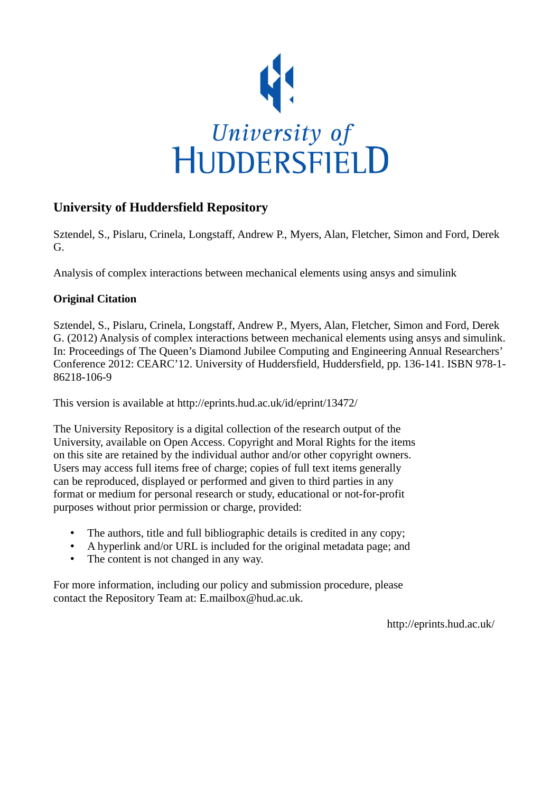

# **University of Huddersfield Repository**

Sztendel, S., Pislaru, Crinela, Longstaff, Andrew P., Myers, Alan, Fletcher, Simon and Ford, Derek G.

Analysis of complex interactions between mechanical elements using ansys and simulink

## **Original Citation**

Sztendel, S., Pislaru, Crinela, Longstaff, Andrew P., Myers, Alan, Fletcher, Simon and Ford, Derek G. (2012) Analysis of complex interactions between mechanical elements using ansys and simulink. In: Proceedings of The Queen's Diamond Jubilee Computing and Engineering Annual Researchers' Conference 2012: CEARC'12. University of Huddersfield, Huddersfield, pp. 136-141. ISBN 978-1- 86218-106-9

This version is available at http://eprints.hud.ac.uk/id/eprint/13472/

The University Repository is a digital collection of the research output of the University, available on Open Access. Copyright and Moral Rights for the items on this site are retained by the individual author and/or other copyright owners. Users may access full items free of charge; copies of full text items generally can be reproduced, displayed or performed and given to third parties in any format or medium for personal research or study, educational or not-for-profit purposes without prior permission or charge, provided:

- The authors, title and full bibliographic details is credited in any copy;
- A hyperlink and/or URL is included for the original metadata page; and
- The content is not changed in any way.

For more information, including our policy and submission procedure, please contact the Repository Team at: E.mailbox@hud.ac.uk.

http://eprints.hud.ac.uk/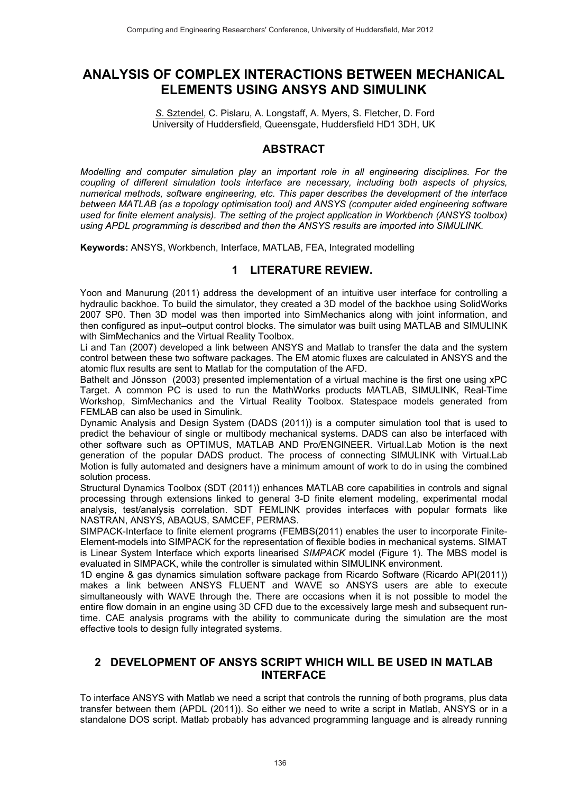# **ANALYSIS OF COMPLEX INTERACTIONS BETWEEN MECHANICAL ELEMENTS USING ANSYS AND SIMULINK**

*S*. Sztendel, C. Pislaru, A. Longstaff, A. Myers, S. Fletcher, D. Ford University of Huddersfield, Queensgate, Huddersfield HD1 3DH, UK

### **ABSTRACT**

*Modelling and computer simulation play an important role in all engineering disciplines. For the coupling of different simulation tools interface are necessary, including both aspects of physics, numerical methods, software engineering, etc. This paper describes the development of the interface between MATLAB (as a topology optimisation tool) and ANSYS (computer aided engineering software used for finite element analysis). The setting of the project application in Workbench (ANSYS toolbox) using APDL programming is described and then the ANSYS results are imported into SIMULINK.* 

**Keywords:** ANSYS, Workbench, Interface, MATLAB, FEA, Integrated modelling

### **1 LITERATURE REVIEW.**

Yoon and Manurung (2011) address the development of an intuitive user interface for controlling a hydraulic backhoe. To build the simulator, they created a 3D model of the backhoe using SolidWorks 2007 SP0. Then 3D model was then imported into SimMechanics along with joint information, and then configured as input–output control blocks. The simulator was built using MATLAB and SIMULINK with SimMechanics and the Virtual Reality Toolbox.

Li and Tan (2007) developed a link between ANSYS and Matlab to transfer the data and the system control between these two software packages. The EM atomic fluxes are calculated in ANSYS and the atomic flux results are sent to Matlab for the computation of the AFD.

Bathelt and Jönsson (2003) presented implementation of a virtual machine is the first one using xPC Target. A common PC is used to run the MathWorks products MATLAB, SIMULINK, Real-Time Workshop, SimMechanics and the Virtual Reality Toolbox. Statespace models generated from FEMLAB can also be used in Simulink.

Dynamic Analysis and Design System (DADS (2011)) is a computer simulation tool that is used to predict the behaviour of single or multibody mechanical systems. DADS can also be interfaced with other software such as OPTIMUS, MATLAB AND Pro/ENGINEER. Virtual.Lab Motion is the next generation of the popular DADS product. The process of connecting SIMULINK with Virtual.Lab Motion is fully automated and designers have a minimum amount of work to do in using the combined solution process.

Structural Dynamics Toolbox (SDT (2011)) enhances MATLAB core capabilities in controls and signal processing through extensions linked to general 3-D finite element modeling, experimental modal analysis, test/analysis correlation. SDT FEMLINK provides interfaces with popular formats like NASTRAN, ANSYS, ABAQUS, SAMCEF, PERMAS.

SIMPACK-Interface to finite element programs (FEMBS(2011) enables the user to incorporate Finite-Element-models into SIMPACK for the representation of flexible bodies in mechanical systems. SIMAT is Linear System Interface which exports linearised *SIMPACK* model (Figure 1). The MBS model is evaluated in SIMPACK, while the controller is simulated within SIMULINK environment.

1D engine & gas dynamics simulation software package from Ricardo Software (Ricardo API(2011)) makes a link between ANSYS FLUENT and WAVE so ANSYS users are able to execute simultaneously with WAVE through the. There are occasions when it is not possible to model the entire flow domain in an engine using 3D CFD due to the excessively large mesh and subsequent runtime. CAE analysis programs with the ability to communicate during the simulation are the most effective tools to design fully integrated systems.

#### **2 DEVELOPMENT OF ANSYS SCRIPT WHICH WILL BE USED IN MATLAB INTERFACE**

To interface ANSYS with Matlab we need a script that controls the running of both programs, plus data transfer between them (APDL (2011)). So either we need to write a script in Matlab, ANSYS or in a standalone DOS script. Matlab probably has advanced programming language and is already running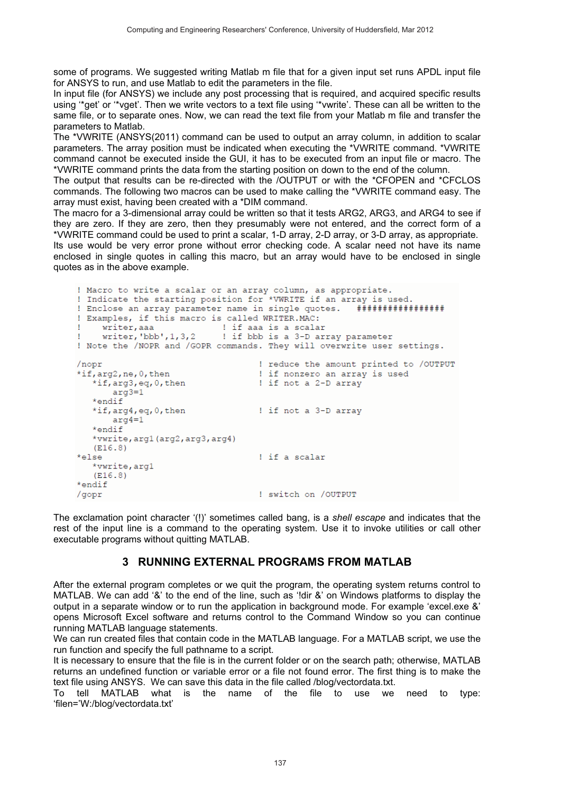some of programs. We suggested writing Matlab m file that for a given input set runs APDL input file for ANSYS to run, and use Matlab to edit the parameters in the file.

In input file (for ANSYS) we include any post processing that is required, and acquired specific results using '\*get' or '\*vget'. Then we write vectors to a text file using '\*vwrite'. These can all be written to the same file, or to separate ones. Now, we can read the text file from your Matlab m file and transfer the parameters to Matlab.

The \*VWRITE (ANSYS(2011) command can be used to output an array column, in addition to scalar parameters. The array position must be indicated when executing the \*VWRITE command. \*VWRITE command cannot be executed inside the GUI, it has to be executed from an input file or macro. The \*VWRITE command prints the data from the starting position on down to the end of the column.

The output that results can be re-directed with the /OUTPUT or with the \*CFOPEN and \*CFCLOS commands. The following two macros can be used to make calling the \*VWRITE command easy. The array must exist, having been created with a \*DIM command.

The macro for a 3-dimensional array could be written so that it tests ARG2, ARG3, and ARG4 to see if they are zero. If they are zero, then they presumably were not entered, and the correct form of a \*VWRITE command could be used to print a scalar, 1-D array, 2-D array, or 3-D array, as appropriate. Its use would be very error prone without error checking code. A scalar need not have its name enclosed in single quotes in calling this macro, but an array would have to be enclosed in single quotes as in the above example.

```
! Macro to write a scalar or an array column, as appropriate.
! Indicate the starting position for *VWRITE if an array is used.
                                                       *****************
! Enclose an array parameter name in single quotes.
! Examples, if this macro is called WRITER.MAC:
     writer.aaa
                            ! if aaa is a scalar
                            ! if bbb is a 3-D array parameter
    writer, 'bbb', 1, 3, 2\mathbf{I}! Note the /NOPR and /GOPR commands. They will overwrite user settings.
                                    ! reduce the amount printed to /OUTPUT
/nopr
*if, arg2, ne, 0, then! if nonzero an array is used
   *if, arg3, eq, 0, then
                                   ! if not a 2-D array
      arg3=1*endif
   *if, arg4, eq, 0, then! if not a 3-D array
      arg4=1*endif
   *vwrite, arg1 (arg2, arg3, arg4)
   (E16.8)*else
                                    ! if a scalar
   *vwrite, arg1
   (E16.8)*endif
                                    ! switch on /OUTPUT
/gopr
```
The exclamation point character '(!)' sometimes called bang, is a *shell escape* and indicates that the rest of the input line is a command to the operating system. Use it to invoke utilities or call other executable programs without quitting MATLAB.

#### **3 RUNNING EXTERNAL PROGRAMS FROM MATLAB**

After the external program completes or we quit the program, the operating system returns control to MATLAB. We can add '&' to the end of the line, such as '!dir &' on Windows platforms to display the output in a separate window or to run the application in background mode. For example 'excel.exe &' opens Microsoft Excel software and returns control to the Command Window so you can continue running MATLAB language statements.

We can run created files that contain code in the MATLAB language. For a MATLAB script, we use the run function and specify the full pathname to a script.

It is necessary to ensure that the file is in the current folder or on the search path; otherwise, MATLAB returns an undefined function or variable error or a file not found error. The first thing is to make the text file using ANSYS. We can save this data in the file called /blog/vectordata.txt.

To tell MATLAB what is the name of the file to use we need to type: 'filen='W:/blog/vectordata.txt'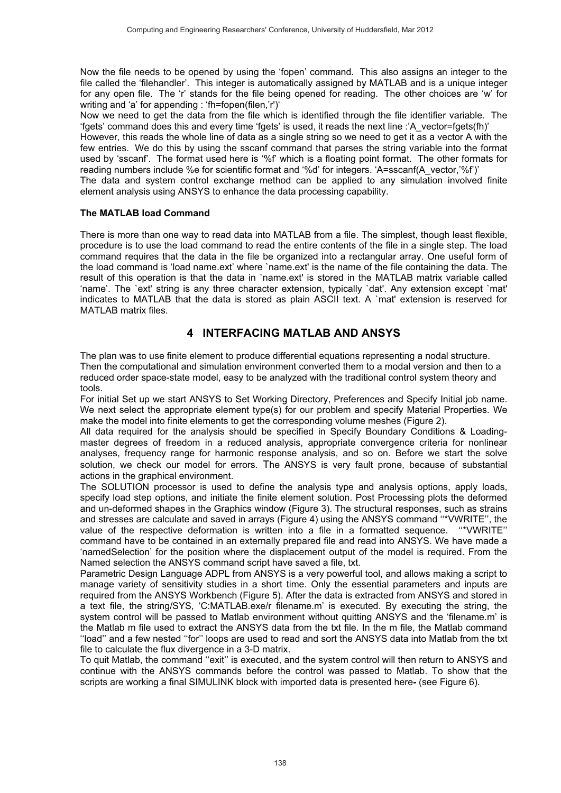Now the file needs to be opened by using the 'fopen' command. This also assigns an integer to the file called the 'filehandler'. This integer is automatically assigned by MATLAB and is a unique integer for any open file. The 'r' stands for the file being opened for reading. The other choices are 'w' for writing and 'a' for appending : 'fh=fopen(filen,'r')'

Now we need to get the data from the file which is identified through the file identifier variable. The 'fgets' command does this and every time 'fgets' is used, it reads the next line :'A\_vector=fgets(fh)'

However, this reads the whole line of data as a single string so we need to get it as a vector A with the few entries. We do this by using the sscanf command that parses the string variable into the format used by 'sscanf'. The format used here is '%f' which is a floating point format. The other formats for reading numbers include %e for scientific format and '%d' for integers. 'A=sscanf(A\_vector,'%f')'

The data and system control exchange method can be applied to any simulation involved finite element analysis using ANSYS to enhance the data processing capability.

#### **The MATLAB load Command**

There is more than one way to read data into MATLAB from a file. The simplest, though least flexible, procedure is to use the load command to read the entire contents of the file in a single step. The load command requires that the data in the file be organized into a rectangular array. One useful form of the load command is 'load name.ext' where `name.ext' is the name of the file containing the data. The result of this operation is that the data in `name.ext' is stored in the MATLAB matrix variable called 'name'. The `ext' string is any three character extension, typically `dat'. Any extension except `mat' indicates to MATLAB that the data is stored as plain ASCII text. A `mat' extension is reserved for MATI AR matrix files

#### **4 INTERFACING MATLAB AND ANSYS**

The plan was to use finite element to produce differential equations representing a nodal structure. Then the computational and simulation environment converted them to a modal version and then to a reduced order space-state model, easy to be analyzed with the traditional control system theory and tools.

For initial Set up we start ANSYS to Set Working Directory, Preferences and Specify Initial job name. We next select the appropriate element type(s) for our problem and specify Material Properties. We make the model into finite elements to get the corresponding volume meshes (Figure 2).

All data required for the analysis should be specified in Specify Boundary Conditions & Loadingmaster degrees of freedom in a reduced analysis, appropriate convergence criteria for nonlinear analyses, frequency range for harmonic response analysis, and so on. Before we start the solve solution, we check our model for errors. The ANSYS is very fault prone, because of substantial actions in the graphical environment.

The SOLUTION processor is used to define the analysis type and analysis options, apply loads, specify load step options, and initiate the finite element solution. Post Processing plots the deformed and un-deformed shapes in the Graphics window (Figure 3). The structural responses, such as strains and stresses are calculate and saved in arrays (Figure 4) using the ANSYS command ''\*VWRITE'', the value of the respective deformation is written into a file in a formatted sequence. ''\*VWRITE'' command have to be contained in an externally prepared file and read into ANSYS. We have made a 'namedSelection' for the position where the displacement output of the model is required. From the Named selection the ANSYS command script have saved a file, txt.

Parametric Design Language ADPL from ANSYS is a very powerful tool, and allows making a script to manage variety of sensitivity studies in a short time. Only the essential parameters and inputs are required from the ANSYS Workbench (Figure 5). After the data is extracted from ANSYS and stored in a text file, the string/SYS, 'C:MATLAB.exe/r filename.m' is executed. By executing the string, the system control will be passed to Matlab environment without quitting ANSYS and the 'filename.m' is the Matlab m file used to extract the ANSYS data from the txt file. In the m file, the Matlab command ''load'' and a few nested ''for'' loops are used to read and sort the ANSYS data into Matlab from the txt file to calculate the flux divergence in a 3-D matrix.

To quit Matlab, the command ''exit'' is executed, and the system control will then return to ANSYS and continue with the ANSYS commands before the control was passed to Matlab. To show that the scripts are working a final SIMULINK block with imported data is presented here**-** (see Figure 6).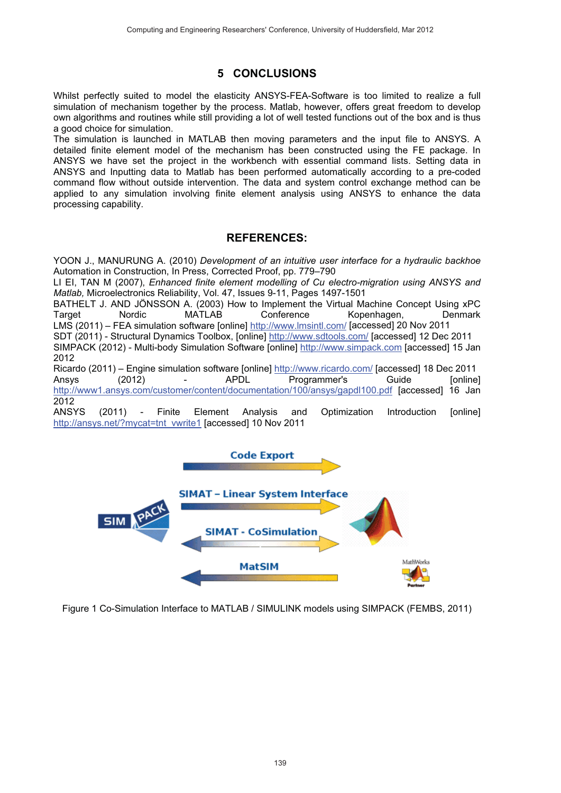# **5 CONCLUSIONS**

Whilst perfectly suited to model the elasticity ANSYS-FEA-Software is too limited to realize a full simulation of mechanism together by the process. Matlab, however, offers great freedom to develop own algorithms and routines while still providing a lot of well tested functions out of the box and is thus a good choice for simulation.

The simulation is launched in MATLAB then moving parameters and the input file to ANSYS. A detailed finite element model of the mechanism has been constructed using the FE package. In ANSYS we have set the project in the workbench with essential command lists. Setting data in ANSYS and Inputting data to Matlab has been performed automatically according to a pre-coded command flow without outside intervention. The data and system control exchange method can be applied to any simulation involving finite element analysis using ANSYS to enhance the data processing capability.

### **REFERENCES:**

YOON J., MANURUNG A. (2010) *Development of an intuitive user interface for a hydraulic backhoe*  Automation in Construction, In Press, Corrected Proof, pp. 779–790

LI EI, TAN M (2007), *Enhanced finite element modelling of Cu electro-migration using ANSYS and Matlab,* Microelectronics Reliability, Vol. 47, Issues 9-11, Pages 1497-1501

BATHELT J. AND JÖNSSON A. (2003) How to Implement the Virtual Machine Concept Using xPC<br>Target Machine MATLAB Conference Kopenhagen. Denmark Kopenhagen, LMS (2011) – FEA simulation software [online] http://www.lmsintl.com/ [accessed] 20 Nov 2011

SDT (2011) - Structural Dynamics Toolbox, [online] http://www.sdtools.com/ [accessed] 12 Dec 2011

SIMPACK (2012) - Multi-body Simulation Software [online] http://www.simpack.com [accessed] 15 Jan 2012

Ricardo (2011) – Engine simulation software [online] http://www.ricardo.com/ [accessed] 18 Dec 2011<br>Ansys (2012) – APDL Programmer's Guide [online Ansys (2012) - APDL Programmer's Guide [online]<br>http://www1.ansys.com/customer/content/documentation/100/ansys/gapdl100.pdf [accessed] 16 Jan http://www1.ansys.com/customer/content/documentation/100/ansys/gapdl100.pdf [accessed] 2012<br>ANSYS

(2011) - Finite Element Analysis and Optimization Introduction [online] http://ansys.net/?mycat=tnt\_vwrite1 [accessed] 10 Nov 2011



Figure 1 Co-Simulation Interface to MATLAB / SIMULINK models using SIMPACK (FEMBS, 2011)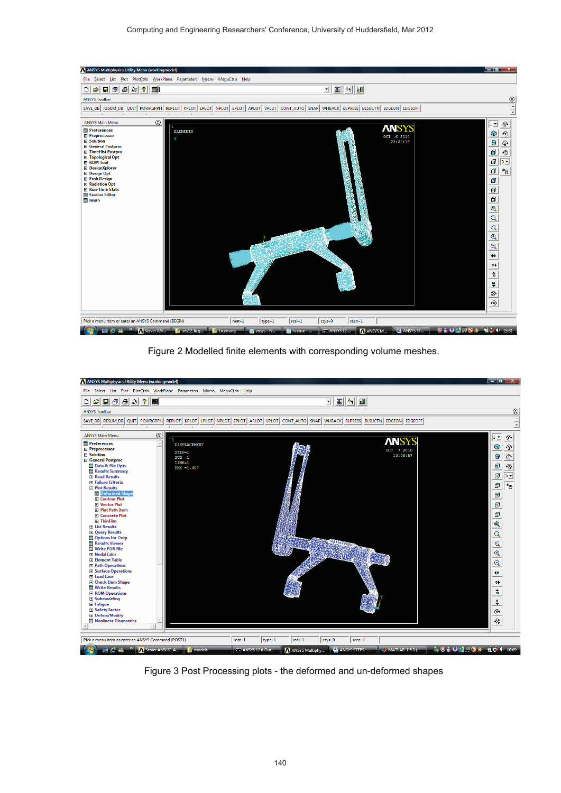

Figure 2 Modelled finite elements with corresponding volume meshes.



Figure 3 Post Processing plots - the deformed and un-deformed shapes